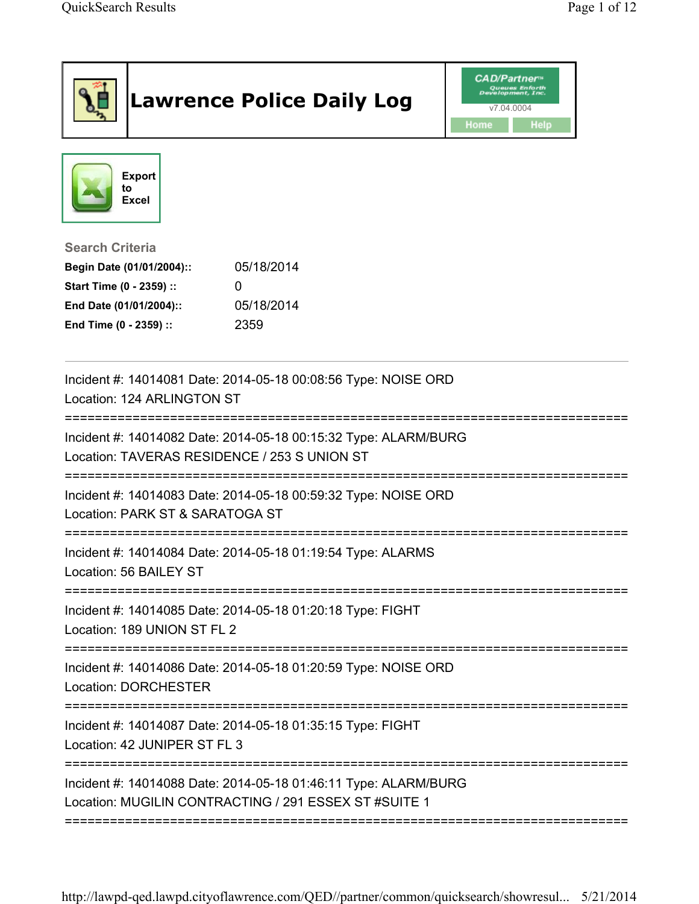|                                              | <b>Lawrence Police Daily Log</b>                                                                                         | <b>CAD/Partner</b> <sup>*</sup><br>v7.04.0004<br>Home<br><b>Help</b> |
|----------------------------------------------|--------------------------------------------------------------------------------------------------------------------------|----------------------------------------------------------------------|
| <b>Export</b><br>to<br><b>Excel</b>          |                                                                                                                          |                                                                      |
| <b>Search Criteria</b>                       |                                                                                                                          |                                                                      |
| Begin Date (01/01/2004)::                    | 05/18/2014                                                                                                               |                                                                      |
| Start Time (0 - 2359) ::                     | $\Omega$                                                                                                                 |                                                                      |
| End Date (01/01/2004)::                      | 05/18/2014                                                                                                               |                                                                      |
| End Time (0 - 2359) ::                       | 2359                                                                                                                     |                                                                      |
| Location: 124 ARLINGTON ST                   | Incident #: 14014081 Date: 2014-05-18 00:08:56 Type: NOISE ORD                                                           |                                                                      |
| Location: TAVERAS RESIDENCE / 253 S UNION ST | Incident #: 14014082 Date: 2014-05-18 00:15:32 Type: ALARM/BURG                                                          |                                                                      |
| Location: PARK ST & SARATOGA ST              | Incident #: 14014083 Date: 2014-05-18 00:59:32 Type: NOISE ORD                                                           |                                                                      |
| Location: 56 BAILEY ST                       | Incident #: 14014084 Date: 2014-05-18 01:19:54 Type: ALARMS                                                              |                                                                      |
| Location: 189 UNION ST FL 2                  | Incident #: 14014085 Date: 2014-05-18 01:20:18 Type: FIGHT                                                               |                                                                      |
| <b>Location: DORCHESTER</b>                  | Incident #: 14014086 Date: 2014-05-18 01:20:59 Type: NOISE ORD<br>====================================                   | ==============================                                       |
| Location: 42 JUNIPER ST FL 3                 | Incident #: 14014087 Date: 2014-05-18 01:35:15 Type: FIGHT                                                               |                                                                      |
|                                              | Incident #: 14014088 Date: 2014-05-18 01:46:11 Type: ALARM/BURG<br>Location: MUGILIN CONTRACTING / 291 ESSEX ST #SUITE 1 |                                                                      |

http://lawpd-qed.lawpd.cityoflawrence.com/QED//partner/common/quicksearch/showresul... 5/21/2014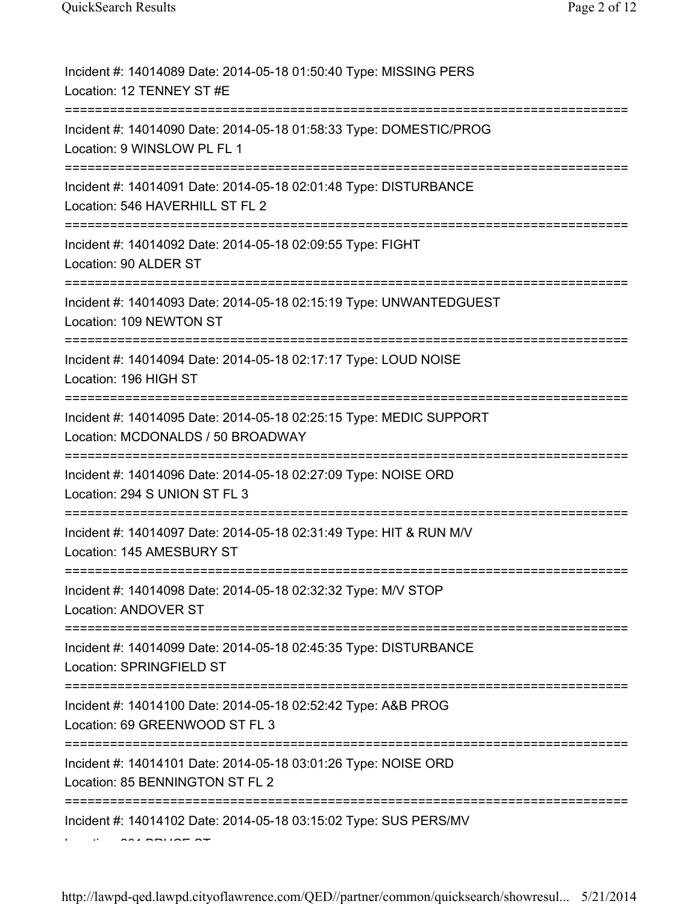| Incident #: 14014089 Date: 2014-05-18 01:50:40 Type: MISSING PERS<br>Location: 12 TENNEY ST #E                                      |
|-------------------------------------------------------------------------------------------------------------------------------------|
| Incident #: 14014090 Date: 2014-05-18 01:58:33 Type: DOMESTIC/PROG<br>Location: 9 WINSLOW PL FL 1                                   |
| Incident #: 14014091 Date: 2014-05-18 02:01:48 Type: DISTURBANCE<br>Location: 546 HAVERHILL ST FL 2                                 |
| Incident #: 14014092 Date: 2014-05-18 02:09:55 Type: FIGHT<br>Location: 90 ALDER ST                                                 |
| Incident #: 14014093 Date: 2014-05-18 02:15:19 Type: UNWANTEDGUEST<br>Location: 109 NEWTON ST                                       |
| Incident #: 14014094 Date: 2014-05-18 02:17:17 Type: LOUD NOISE<br>Location: 196 HIGH ST                                            |
| Incident #: 14014095 Date: 2014-05-18 02:25:15 Type: MEDIC SUPPORT<br>Location: MCDONALDS / 50 BROADWAY<br>======================== |
| Incident #: 14014096 Date: 2014-05-18 02:27:09 Type: NOISE ORD<br>Location: 294 S UNION ST FL 3                                     |
| Incident #: 14014097 Date: 2014-05-18 02:31:49 Type: HIT & RUN M/V<br>Location: 145 AMESBURY ST                                     |
| Incident #: 14014098 Date: 2014-05-18 02:32:32 Type: M/V STOP<br>Location: ANDOVER ST                                               |
| Incident #: 14014099 Date: 2014-05-18 02:45:35 Type: DISTURBANCE<br>Location: SPRINGFIELD ST                                        |
| Incident #: 14014100 Date: 2014-05-18 02:52:42 Type: A&B PROG<br>Location: 69 GREENWOOD ST FL 3                                     |
| Incident #: 14014101 Date: 2014-05-18 03:01:26 Type: NOISE ORD<br>Location: 85 BENNINGTON ST FL 2                                   |
| Incident #: 14014102 Date: 2014-05-18 03:15:02 Type: SUS PERS/MV                                                                    |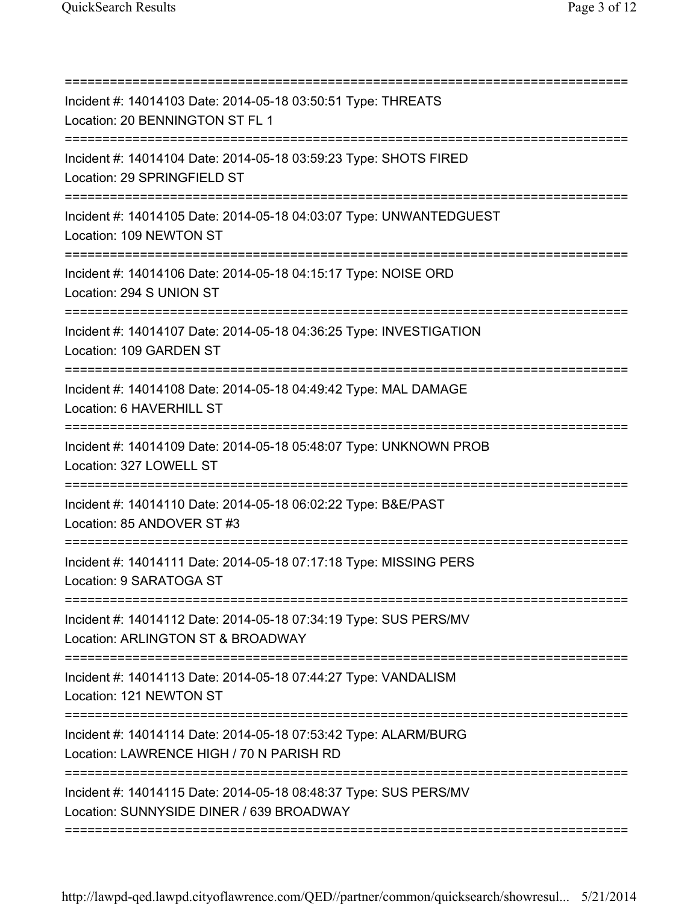| Incident #: 14014103 Date: 2014-05-18 03:50:51 Type: THREATS<br>Location: 20 BENNINGTON ST FL 1                                        |
|----------------------------------------------------------------------------------------------------------------------------------------|
| Incident #: 14014104 Date: 2014-05-18 03:59:23 Type: SHOTS FIRED<br>Location: 29 SPRINGFIELD ST                                        |
| Incident #: 14014105 Date: 2014-05-18 04:03:07 Type: UNWANTEDGUEST<br>Location: 109 NEWTON ST                                          |
| Incident #: 14014106 Date: 2014-05-18 04:15:17 Type: NOISE ORD<br>Location: 294 S UNION ST                                             |
| Incident #: 14014107 Date: 2014-05-18 04:36:25 Type: INVESTIGATION<br>Location: 109 GARDEN ST<br>===================================== |
| Incident #: 14014108 Date: 2014-05-18 04:49:42 Type: MAL DAMAGE<br>Location: 6 HAVERHILL ST                                            |
| Incident #: 14014109 Date: 2014-05-18 05:48:07 Type: UNKNOWN PROB<br>Location: 327 LOWELL ST                                           |
| Incident #: 14014110 Date: 2014-05-18 06:02:22 Type: B&E/PAST<br>Location: 85 ANDOVER ST #3                                            |
| Incident #: 14014111 Date: 2014-05-18 07:17:18 Type: MISSING PERS<br>Location: 9 SARATOGA ST                                           |
| Incident #: 14014112 Date: 2014-05-18 07:34:19 Type: SUS PERS/MV<br>Location: ARLINGTON ST & BROADWAY                                  |
| :======================<br>Incident #: 14014113 Date: 2014-05-18 07:44:27 Type: VANDALISM<br>Location: 121 NEWTON ST                   |
| Incident #: 14014114 Date: 2014-05-18 07:53:42 Type: ALARM/BURG<br>Location: LAWRENCE HIGH / 70 N PARISH RD                            |
| Incident #: 14014115 Date: 2014-05-18 08:48:37 Type: SUS PERS/MV<br>Location: SUNNYSIDE DINER / 639 BROADWAY                           |
|                                                                                                                                        |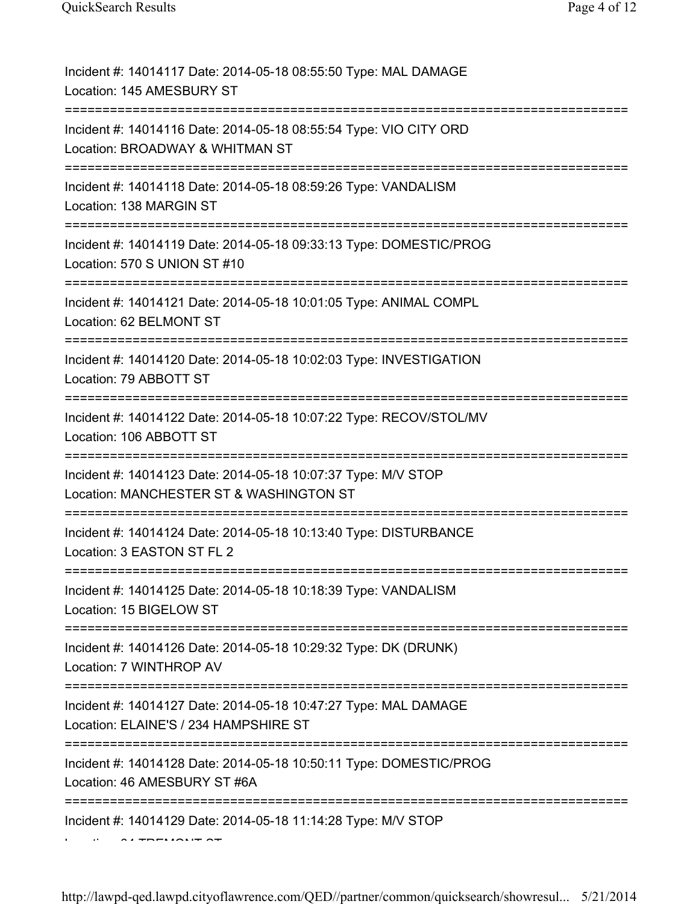| Incident #: 14014117 Date: 2014-05-18 08:55:50 Type: MAL DAMAGE<br>Location: 145 AMESBURY ST                                                  |
|-----------------------------------------------------------------------------------------------------------------------------------------------|
| Incident #: 14014116 Date: 2014-05-18 08:55:54 Type: VIO CITY ORD<br>Location: BROADWAY & WHITMAN ST<br>===================================== |
| Incident #: 14014118 Date: 2014-05-18 08:59:26 Type: VANDALISM<br>Location: 138 MARGIN ST                                                     |
| Incident #: 14014119 Date: 2014-05-18 09:33:13 Type: DOMESTIC/PROG<br>Location: 570 S UNION ST #10                                            |
| Incident #: 14014121 Date: 2014-05-18 10:01:05 Type: ANIMAL COMPL<br>Location: 62 BELMONT ST                                                  |
| Incident #: 14014120 Date: 2014-05-18 10:02:03 Type: INVESTIGATION<br>Location: 79 ABBOTT ST                                                  |
| Incident #: 14014122 Date: 2014-05-18 10:07:22 Type: RECOV/STOL/MV<br>Location: 106 ABBOTT ST                                                 |
| Incident #: 14014123 Date: 2014-05-18 10:07:37 Type: M/V STOP<br>Location: MANCHESTER ST & WASHINGTON ST                                      |
| Incident #: 14014124 Date: 2014-05-18 10:13:40 Type: DISTURBANCE<br>Location: 3 EASTON ST FL 2                                                |
| Incident #: 14014125 Date: 2014-05-18 10:18:39 Type: VANDALISM<br>Location: 15 BIGELOW ST                                                     |
| Incident #: 14014126 Date: 2014-05-18 10:29:32 Type: DK (DRUNK)<br>Location: 7 WINTHROP AV                                                    |
| Incident #: 14014127 Date: 2014-05-18 10:47:27 Type: MAL DAMAGE<br>Location: ELAINE'S / 234 HAMPSHIRE ST                                      |
| Incident #: 14014128 Date: 2014-05-18 10:50:11 Type: DOMESTIC/PROG<br>Location: 46 AMESBURY ST #6A                                            |
| Incident #: 14014129 Date: 2014-05-18 11:14:28 Type: M/V STOP                                                                                 |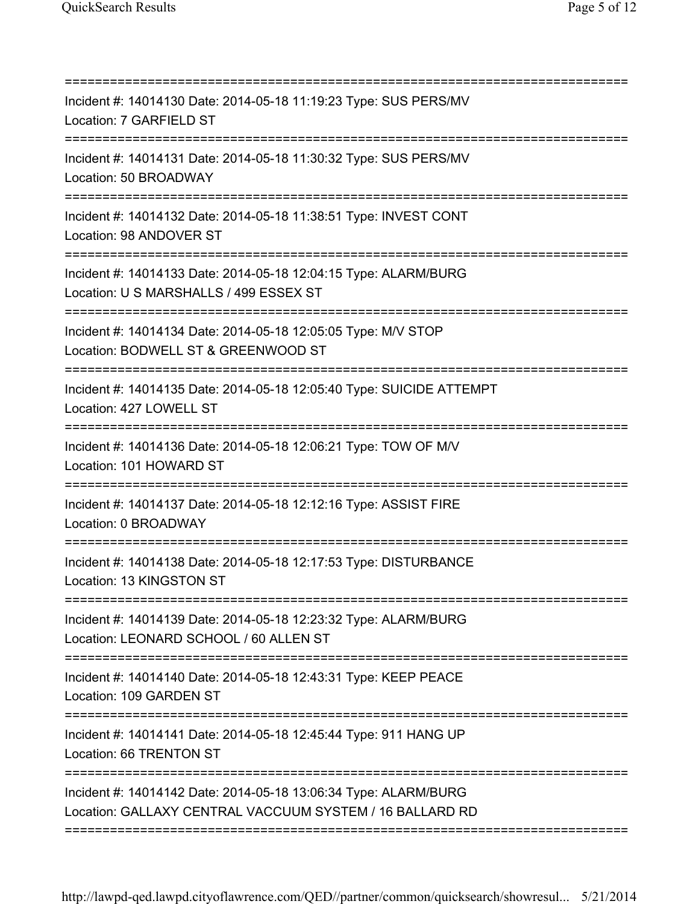| Incident #: 14014130 Date: 2014-05-18 11:19:23 Type: SUS PERS/MV<br>Location: 7 GARFIELD ST                                                                         |
|---------------------------------------------------------------------------------------------------------------------------------------------------------------------|
| Incident #: 14014131 Date: 2014-05-18 11:30:32 Type: SUS PERS/MV<br>Location: 50 BROADWAY                                                                           |
| Incident #: 14014132 Date: 2014-05-18 11:38:51 Type: INVEST CONT<br>Location: 98 ANDOVER ST                                                                         |
| Incident #: 14014133 Date: 2014-05-18 12:04:15 Type: ALARM/BURG<br>Location: U S MARSHALLS / 499 ESSEX ST<br>==================================                     |
| Incident #: 14014134 Date: 2014-05-18 12:05:05 Type: M/V STOP<br>Location: BODWELL ST & GREENWOOD ST<br>====================                                        |
| Incident #: 14014135 Date: 2014-05-18 12:05:40 Type: SUICIDE ATTEMPT<br>Location: 427 LOWELL ST<br>=================================                                |
| Incident #: 14014136 Date: 2014-05-18 12:06:21 Type: TOW OF M/V<br>Location: 101 HOWARD ST                                                                          |
| Incident #: 14014137 Date: 2014-05-18 12:12:16 Type: ASSIST FIRE<br>Location: 0 BROADWAY                                                                            |
| Incident #: 14014138 Date: 2014-05-18 12:17:53 Type: DISTURBANCE<br>Location: 13 KINGSTON ST                                                                        |
| Incident #: 14014139 Date: 2014-05-18 12:23:32 Type: ALARM/BURG<br>Location: LEONARD SCHOOL / 60 ALLEN ST                                                           |
| Incident #: 14014140 Date: 2014-05-18 12:43:31 Type: KEEP PEACE<br>Location: 109 GARDEN ST                                                                          |
| Incident #: 14014141 Date: 2014-05-18 12:45:44 Type: 911 HANG UP<br>Location: 66 TRENTON ST                                                                         |
| ;===================================<br>Incident #: 14014142 Date: 2014-05-18 13:06:34 Type: ALARM/BURG<br>Location: GALLAXY CENTRAL VACCUUM SYSTEM / 16 BALLARD RD |
|                                                                                                                                                                     |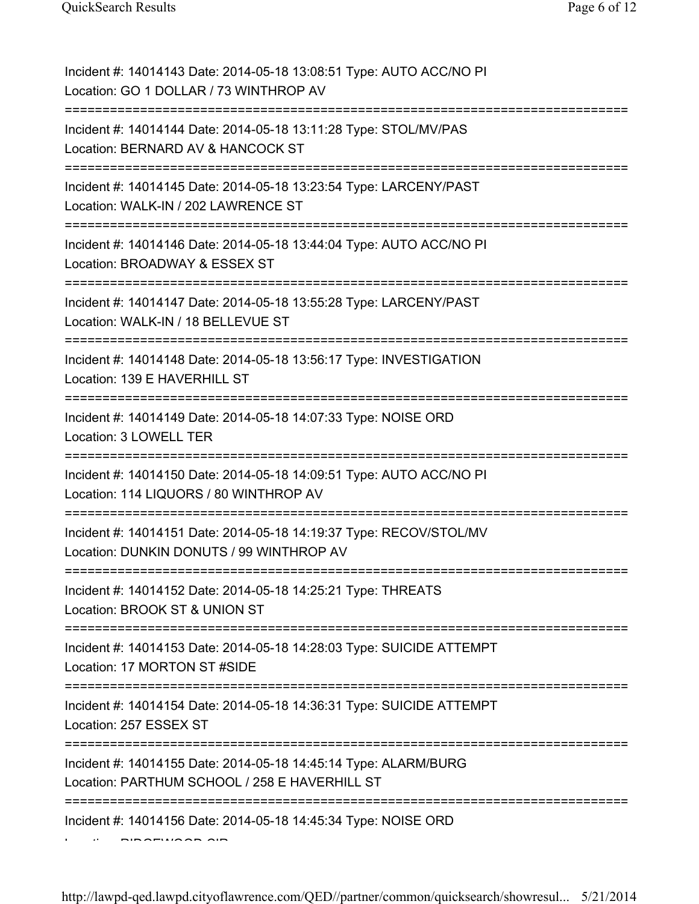| Incident #: 14014143 Date: 2014-05-18 13:08:51 Type: AUTO ACC/NO PI<br>Location: GO 1 DOLLAR / 73 WINTHROP AV    |
|------------------------------------------------------------------------------------------------------------------|
| Incident #: 14014144 Date: 2014-05-18 13:11:28 Type: STOL/MV/PAS<br>Location: BERNARD AV & HANCOCK ST            |
| Incident #: 14014145 Date: 2014-05-18 13:23:54 Type: LARCENY/PAST<br>Location: WALK-IN / 202 LAWRENCE ST         |
| Incident #: 14014146 Date: 2014-05-18 13:44:04 Type: AUTO ACC/NO PI<br>Location: BROADWAY & ESSEX ST             |
| Incident #: 14014147 Date: 2014-05-18 13:55:28 Type: LARCENY/PAST<br>Location: WALK-IN / 18 BELLEVUE ST          |
| Incident #: 14014148 Date: 2014-05-18 13:56:17 Type: INVESTIGATION<br>Location: 139 E HAVERHILL ST               |
| Incident #: 14014149 Date: 2014-05-18 14:07:33 Type: NOISE ORD<br>Location: 3 LOWELL TER                         |
| Incident #: 14014150 Date: 2014-05-18 14:09:51 Type: AUTO ACC/NO PI<br>Location: 114 LIQUORS / 80 WINTHROP AV    |
| Incident #: 14014151 Date: 2014-05-18 14:19:37 Type: RECOV/STOL/MV<br>Location: DUNKIN DONUTS / 99 WINTHROP AV   |
| Incident #: 14014152 Date: 2014-05-18 14:25:21 Type: THREATS<br>Location: BROOK ST & UNION ST                    |
| Incident #: 14014153 Date: 2014-05-18 14:28:03 Type: SUICIDE ATTEMPT<br>Location: 17 MORTON ST #SIDE             |
| :===========<br>Incident #: 14014154 Date: 2014-05-18 14:36:31 Type: SUICIDE ATTEMPT<br>Location: 257 ESSEX ST   |
| Incident #: 14014155 Date: 2014-05-18 14:45:14 Type: ALARM/BURG<br>Location: PARTHUM SCHOOL / 258 E HAVERHILL ST |
| Incident #: 14014156 Date: 2014-05-18 14:45:34 Type: NOISE ORD                                                   |
|                                                                                                                  |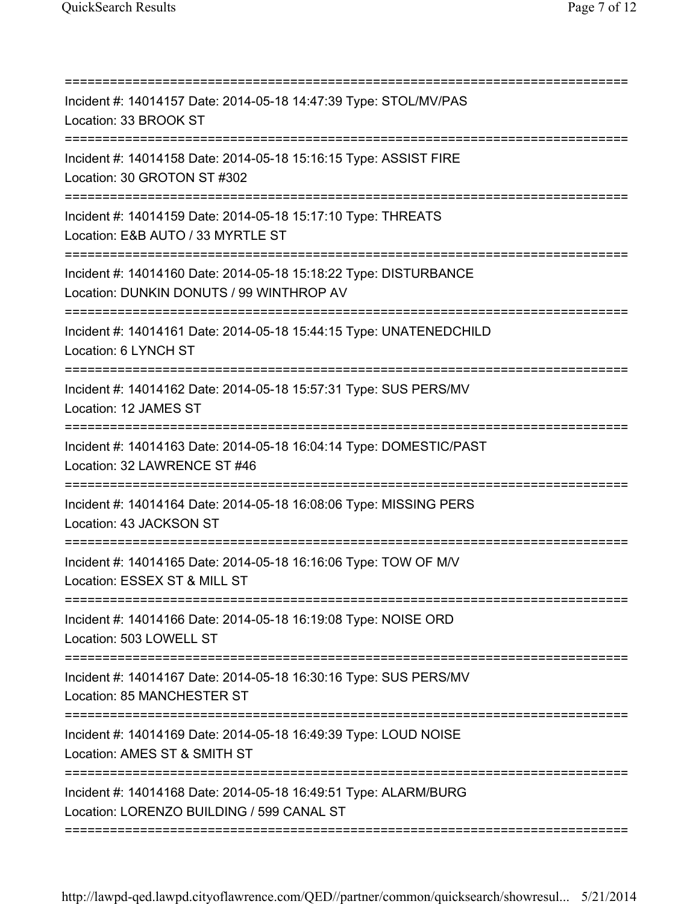| Incident #: 14014157 Date: 2014-05-18 14:47:39 Type: STOL/MV/PAS<br>Location: 33 BROOK ST<br>--------------------------------- |
|--------------------------------------------------------------------------------------------------------------------------------|
| Incident #: 14014158 Date: 2014-05-18 15:16:15 Type: ASSIST FIRE<br>Location: 30 GROTON ST #302                                |
| Incident #: 14014159 Date: 2014-05-18 15:17:10 Type: THREATS<br>Location: E&B AUTO / 33 MYRTLE ST                              |
| Incident #: 14014160 Date: 2014-05-18 15:18:22 Type: DISTURBANCE<br>Location: DUNKIN DONUTS / 99 WINTHROP AV                   |
| Incident #: 14014161 Date: 2014-05-18 15:44:15 Type: UNATENEDCHILD<br>Location: 6 LYNCH ST                                     |
| Incident #: 14014162 Date: 2014-05-18 15:57:31 Type: SUS PERS/MV<br>Location: 12 JAMES ST                                      |
| Incident #: 14014163 Date: 2014-05-18 16:04:14 Type: DOMESTIC/PAST<br>Location: 32 LAWRENCE ST #46                             |
| Incident #: 14014164 Date: 2014-05-18 16:08:06 Type: MISSING PERS<br>Location: 43 JACKSON ST                                   |
| Incident #: 14014165 Date: 2014-05-18 16:16:06 Type: TOW OF M/V<br>Location: ESSEX ST & MILL ST                                |
| Incident #: 14014166 Date: 2014-05-18 16:19:08 Type: NOISE ORD<br>Location: 503 LOWELL ST                                      |
| Incident #: 14014167 Date: 2014-05-18 16:30:16 Type: SUS PERS/MV<br>Location: 85 MANCHESTER ST                                 |
| =====================<br>Incident #: 14014169 Date: 2014-05-18 16:49:39 Type: LOUD NOISE<br>Location: AMES ST & SMITH ST       |
| Incident #: 14014168 Date: 2014-05-18 16:49:51 Type: ALARM/BURG<br>Location: LORENZO BUILDING / 599 CANAL ST                   |
|                                                                                                                                |

http://lawpd-qed.lawpd.cityoflawrence.com/QED//partner/common/quicksearch/showresul... 5/21/2014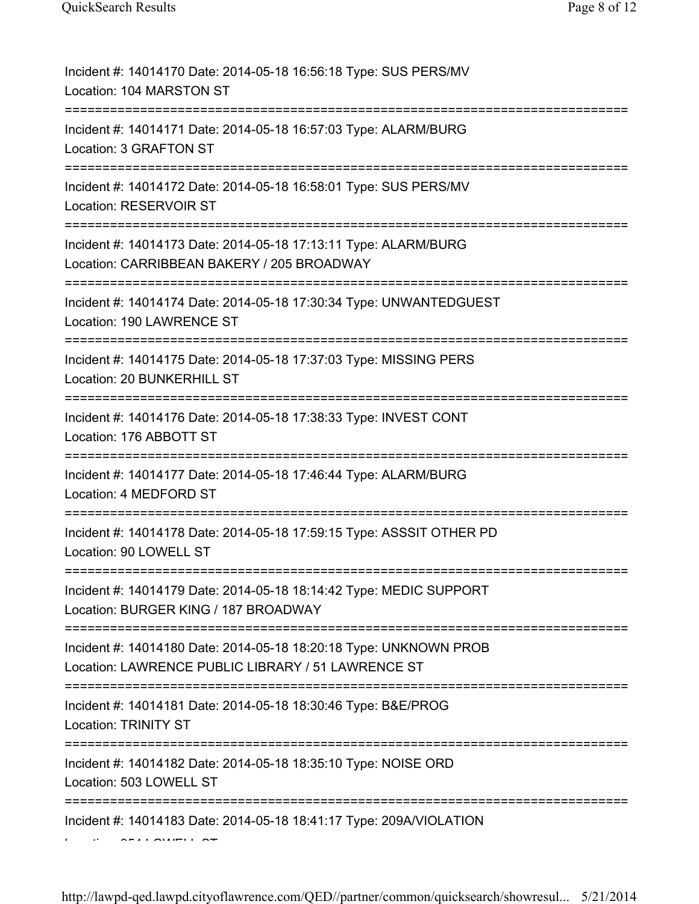| Incident #: 14014170 Date: 2014-05-18 16:56:18 Type: SUS PERS/MV<br>Location: 104 MARSTON ST                                              |
|-------------------------------------------------------------------------------------------------------------------------------------------|
| Incident #: 14014171 Date: 2014-05-18 16:57:03 Type: ALARM/BURG<br>Location: 3 GRAFTON ST                                                 |
| Incident #: 14014172 Date: 2014-05-18 16:58:01 Type: SUS PERS/MV<br>Location: RESERVOIR ST                                                |
| Incident #: 14014173 Date: 2014-05-18 17:13:11 Type: ALARM/BURG<br>Location: CARRIBBEAN BAKERY / 205 BROADWAY<br>;======================= |
| Incident #: 14014174 Date: 2014-05-18 17:30:34 Type: UNWANTEDGUEST<br>Location: 190 LAWRENCE ST                                           |
| Incident #: 14014175 Date: 2014-05-18 17:37:03 Type: MISSING PERS<br>Location: 20 BUNKERHILL ST                                           |
| Incident #: 14014176 Date: 2014-05-18 17:38:33 Type: INVEST CONT<br>Location: 176 ABBOTT ST                                               |
| Incident #: 14014177 Date: 2014-05-18 17:46:44 Type: ALARM/BURG<br>Location: 4 MEDFORD ST                                                 |
| Incident #: 14014178 Date: 2014-05-18 17:59:15 Type: ASSSIT OTHER PD<br>Location: 90 LOWELL ST                                            |
| Incident #: 14014179 Date: 2014-05-18 18:14:42 Type: MEDIC SUPPORT<br>Location: BURGER KING / 187 BROADWAY                                |
| Incident #: 14014180 Date: 2014-05-18 18:20:18 Type: UNKNOWN PROB<br>Location: LAWRENCE PUBLIC LIBRARY / 51 LAWRENCE ST                   |
| Incident #: 14014181 Date: 2014-05-18 18:30:46 Type: B&E/PROG<br><b>Location: TRINITY ST</b>                                              |
| Incident #: 14014182 Date: 2014-05-18 18:35:10 Type: NOISE ORD<br>Location: 503 LOWELL ST                                                 |
| Incident #: 14014183 Date: 2014-05-18 18:41:17 Type: 209A/VIOLATION                                                                       |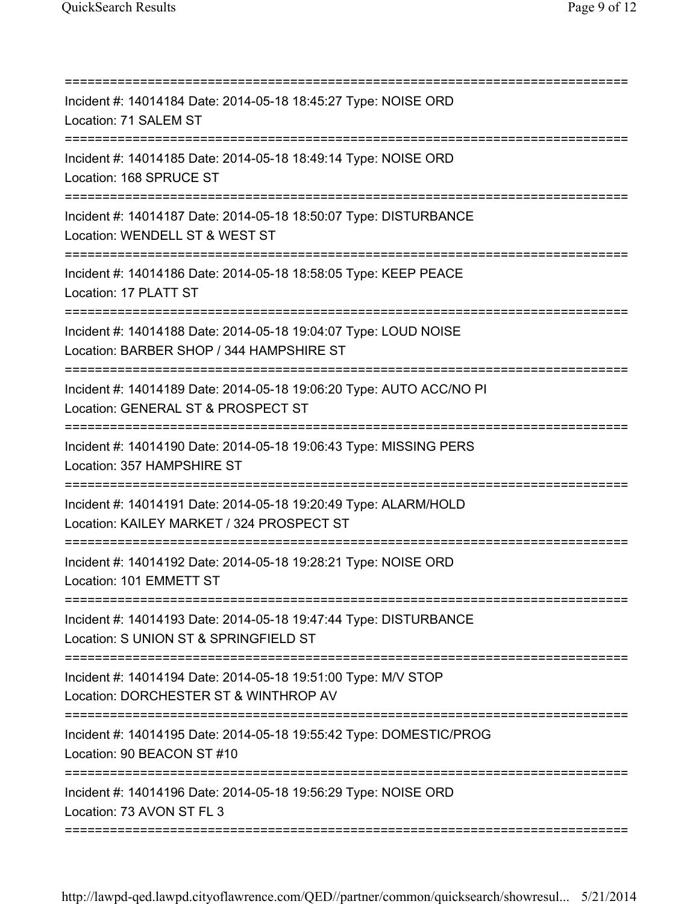| Incident #: 14014184 Date: 2014-05-18 18:45:27 Type: NOISE ORD<br>Location: 71 SALEM ST<br>==================================== |
|---------------------------------------------------------------------------------------------------------------------------------|
| Incident #: 14014185 Date: 2014-05-18 18:49:14 Type: NOISE ORD<br>Location: 168 SPRUCE ST                                       |
| Incident #: 14014187 Date: 2014-05-18 18:50:07 Type: DISTURBANCE<br>Location: WENDELL ST & WEST ST                              |
| Incident #: 14014186 Date: 2014-05-18 18:58:05 Type: KEEP PEACE<br>Location: 17 PLATT ST                                        |
| Incident #: 14014188 Date: 2014-05-18 19:04:07 Type: LOUD NOISE<br>Location: BARBER SHOP / 344 HAMPSHIRE ST                     |
| Incident #: 14014189 Date: 2014-05-18 19:06:20 Type: AUTO ACC/NO PI<br>Location: GENERAL ST & PROSPECT ST                       |
| Incident #: 14014190 Date: 2014-05-18 19:06:43 Type: MISSING PERS<br>Location: 357 HAMPSHIRE ST                                 |
| Incident #: 14014191 Date: 2014-05-18 19:20:49 Type: ALARM/HOLD<br>Location: KAILEY MARKET / 324 PROSPECT ST                    |
| Incident #: 14014192 Date: 2014-05-18 19:28:21 Type: NOISE ORD<br>Location: 101 EMMETT ST                                       |
| Incident #: 14014193 Date: 2014-05-18 19:47:44 Type: DISTURBANCE<br>Location: S UNION ST & SPRINGFIELD ST                       |
| Incident #: 14014194 Date: 2014-05-18 19:51:00 Type: M/V STOP<br>Location: DORCHESTER ST & WINTHROP AV                          |
| Incident #: 14014195 Date: 2014-05-18 19:55:42 Type: DOMESTIC/PROG<br>Location: 90 BEACON ST #10                                |
| :=============<br>Incident #: 14014196 Date: 2014-05-18 19:56:29 Type: NOISE ORD<br>Location: 73 AVON ST FL 3                   |
|                                                                                                                                 |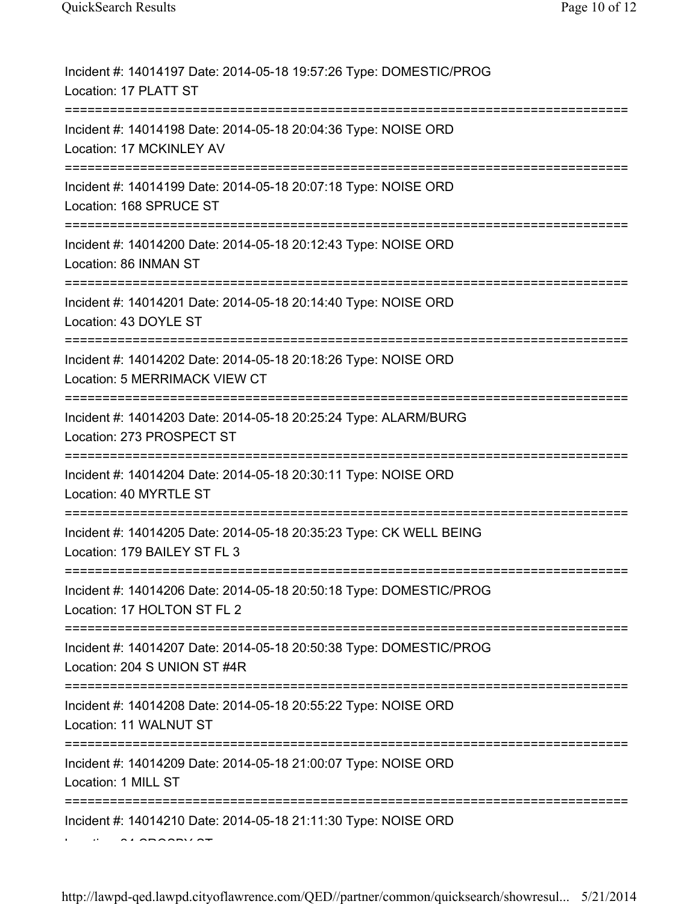| Incident #: 14014197 Date: 2014-05-18 19:57:26 Type: DOMESTIC/PROG<br>Location: 17 PLATT ST                                |
|----------------------------------------------------------------------------------------------------------------------------|
| Incident #: 14014198 Date: 2014-05-18 20:04:36 Type: NOISE ORD<br>Location: 17 MCKINLEY AV                                 |
| Incident #: 14014199 Date: 2014-05-18 20:07:18 Type: NOISE ORD<br>Location: 168 SPRUCE ST                                  |
| Incident #: 14014200 Date: 2014-05-18 20:12:43 Type: NOISE ORD<br>Location: 86 INMAN ST                                    |
| Incident #: 14014201 Date: 2014-05-18 20:14:40 Type: NOISE ORD<br>Location: 43 DOYLE ST                                    |
| Incident #: 14014202 Date: 2014-05-18 20:18:26 Type: NOISE ORD<br>Location: 5 MERRIMACK VIEW CT                            |
| Incident #: 14014203 Date: 2014-05-18 20:25:24 Type: ALARM/BURG<br>Location: 273 PROSPECT ST                               |
| Incident #: 14014204 Date: 2014-05-18 20:30:11 Type: NOISE ORD<br>Location: 40 MYRTLE ST                                   |
| Incident #: 14014205 Date: 2014-05-18 20:35:23 Type: CK WELL BEING<br>Location: 179 BAILEY ST FL 3                         |
| Incident #: 14014206 Date: 2014-05-18 20:50:18 Type: DOMESTIC/PROG<br>Location: 17 HOLTON ST FL 2                          |
| Incident #: 14014207 Date: 2014-05-18 20:50:38 Type: DOMESTIC/PROG<br>Location: 204 S UNION ST #4R                         |
| Incident #: 14014208 Date: 2014-05-18 20:55:22 Type: NOISE ORD<br>Location: 11 WALNUT ST                                   |
| -================================<br>Incident #: 14014209 Date: 2014-05-18 21:00:07 Type: NOISE ORD<br>Location: 1 MILL ST |
| Incident #: 14014210 Date: 2014-05-18 21:11:30 Type: NOISE ORD                                                             |
|                                                                                                                            |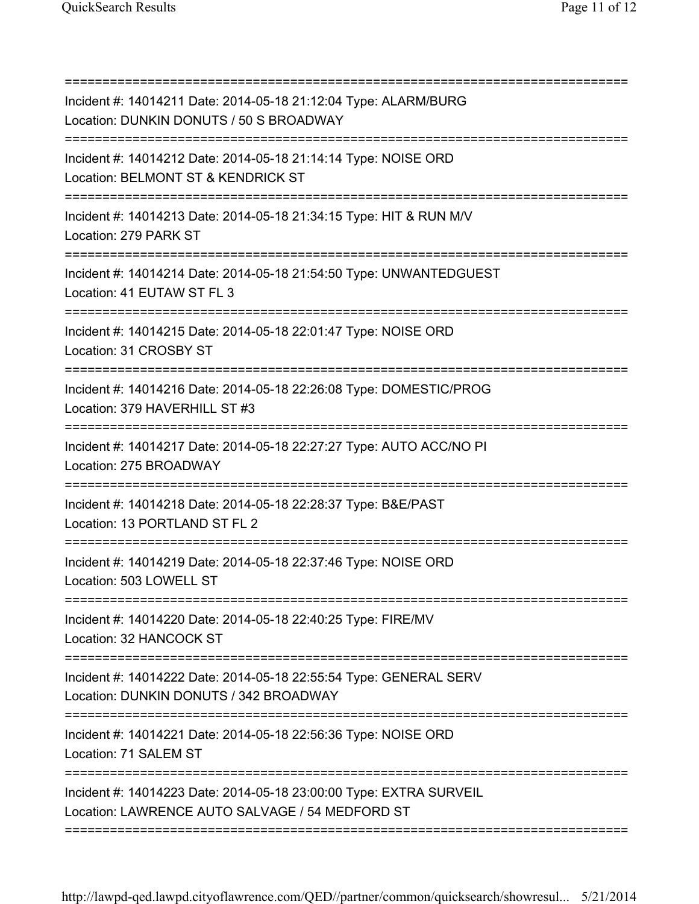| Incident #: 14014211 Date: 2014-05-18 21:12:04 Type: ALARM/BURG<br>Location: DUNKIN DONUTS / 50 S BROADWAY                     |
|--------------------------------------------------------------------------------------------------------------------------------|
| Incident #: 14014212 Date: 2014-05-18 21:14:14 Type: NOISE ORD<br>Location: BELMONT ST & KENDRICK ST                           |
| Incident #: 14014213 Date: 2014-05-18 21:34:15 Type: HIT & RUN M/V<br>Location: 279 PARK ST                                    |
| Incident #: 14014214 Date: 2014-05-18 21:54:50 Type: UNWANTEDGUEST<br>Location: 41 EUTAW ST FL 3                               |
| Incident #: 14014215 Date: 2014-05-18 22:01:47 Type: NOISE ORD<br>Location: 31 CROSBY ST                                       |
| Incident #: 14014216 Date: 2014-05-18 22:26:08 Type: DOMESTIC/PROG<br>Location: 379 HAVERHILL ST #3                            |
| Incident #: 14014217 Date: 2014-05-18 22:27:27 Type: AUTO ACC/NO PI<br>Location: 275 BROADWAY                                  |
| Incident #: 14014218 Date: 2014-05-18 22:28:37 Type: B&E/PAST<br>Location: 13 PORTLAND ST FL 2                                 |
| Incident #: 14014219 Date: 2014-05-18 22:37:46 Type: NOISE ORD<br>Location: 503 LOWELL ST                                      |
| Incident #: 14014220 Date: 2014-05-18 22:40:25 Type: FIRE/MV<br>Location: 32 HANCOCK ST                                        |
| Incident #: 14014222 Date: 2014-05-18 22:55:54 Type: GENERAL SERV<br>Location: DUNKIN DONUTS / 342 BROADWAY                    |
| ===================================<br>Incident #: 14014221 Date: 2014-05-18 22:56:36 Type: NOISE ORD<br>Location: 71 SALEM ST |
| Incident #: 14014223 Date: 2014-05-18 23:00:00 Type: EXTRA SURVEIL<br>Location: LAWRENCE AUTO SALVAGE / 54 MEDFORD ST          |
|                                                                                                                                |